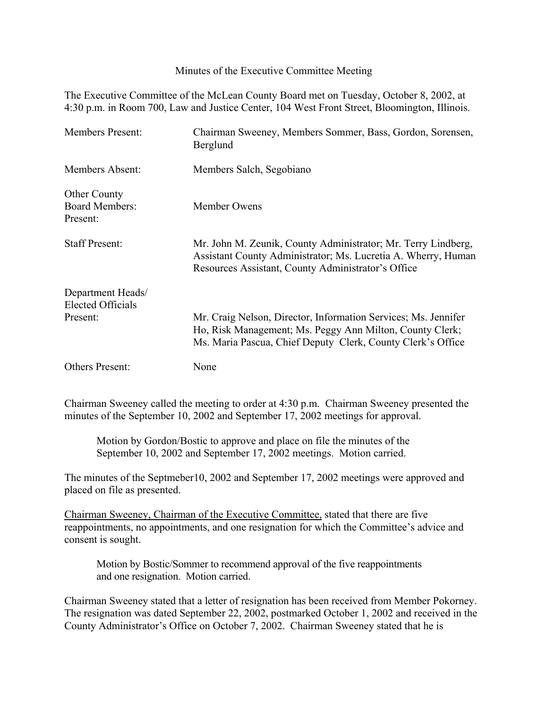## Minutes of the Executive Committee Meeting

The Executive Committee of the McLean County Board met on Tuesday, October 8, 2002, at 4:30 p.m. in Room 700, Law and Justice Center, 104 West Front Street, Bloomington, Illinois.

| <b>Members Present:</b>                                   | Chairman Sweeney, Members Sommer, Bass, Gordon, Sorensen,<br>Berglund                                                                                                                     |
|-----------------------------------------------------------|-------------------------------------------------------------------------------------------------------------------------------------------------------------------------------------------|
| <b>Members Absent:</b>                                    | Members Salch, Segobiano                                                                                                                                                                  |
| <b>Other County</b><br><b>Board Members:</b><br>Present:  | Member Owens                                                                                                                                                                              |
| <b>Staff Present:</b>                                     | Mr. John M. Zeunik, County Administrator; Mr. Terry Lindberg,<br>Assistant County Administrator; Ms. Lucretia A. Wherry, Human<br>Resources Assistant, County Administrator's Office      |
| Department Heads/<br><b>Elected Officials</b><br>Present: | Mr. Craig Nelson, Director, Information Services; Ms. Jennifer<br>Ho, Risk Management; Ms. Peggy Ann Milton, County Clerk;<br>Ms. Maria Pascua, Chief Deputy Clerk, County Clerk's Office |
| <b>Others Present:</b>                                    | None                                                                                                                                                                                      |

Chairman Sweeney called the meeting to order at 4:30 p.m. Chairman Sweeney presented the minutes of the September 10, 2002 and September 17, 2002 meetings for approval.

Motion by Gordon/Bostic to approve and place on file the minutes of the September 10, 2002 and September 17, 2002 meetings. Motion carried.

The minutes of the Septmeber10, 2002 and September 17, 2002 meetings were approved and placed on file as presented.

Chairman Sweeney, Chairman of the Executive Committee, stated that there are five reappointments, no appointments, and one resignation for which the Committee's advice and consent is sought.

Motion by Bostic/Sommer to recommend approval of the five reappointments and one resignation. Motion carried.

Chairman Sweeney stated that a letter of resignation has been received from Member Pokorney. The resignation was dated September 22, 2002, postmarked October 1, 2002 and received in the County Administrator's Office on October 7, 2002. Chairman Sweeney stated that he is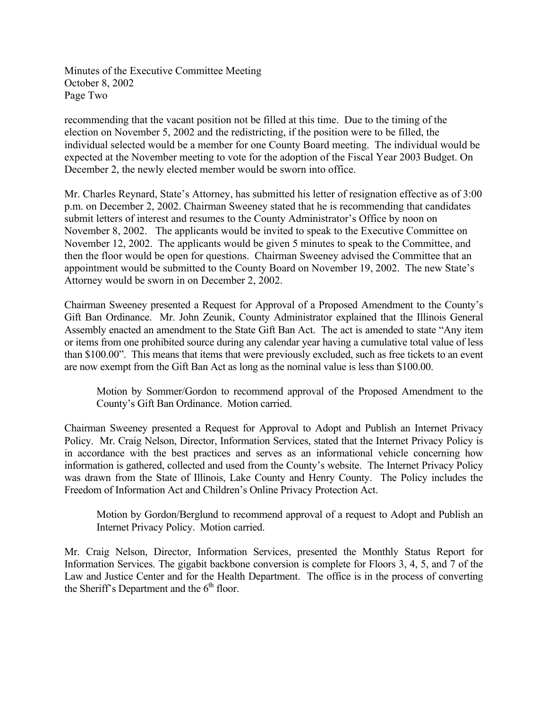Minutes of the Executive Committee Meeting October 8, 2002 Page Two

recommending that the vacant position not be filled at this time. Due to the timing of the election on November 5, 2002 and the redistricting, if the position were to be filled, the individual selected would be a member for one County Board meeting. The individual would be expected at the November meeting to vote for the adoption of the Fiscal Year 2003 Budget. On December 2, the newly elected member would be sworn into office.

Mr. Charles Reynard, State's Attorney, has submitted his letter of resignation effective as of 3:00 p.m. on December 2, 2002. Chairman Sweeney stated that he is recommending that candidates submit letters of interest and resumes to the County Administrator's Office by noon on November 8, 2002. The applicants would be invited to speak to the Executive Committee on November 12, 2002. The applicants would be given 5 minutes to speak to the Committee, and then the floor would be open for questions. Chairman Sweeney advised the Committee that an appointment would be submitted to the County Board on November 19, 2002. The new State's Attorney would be sworn in on December 2, 2002.

Chairman Sweeney presented a Request for Approval of a Proposed Amendment to the County's Gift Ban Ordinance. Mr. John Zeunik, County Administrator explained that the Illinois General Assembly enacted an amendment to the State Gift Ban Act. The act is amended to state "Any item or items from one prohibited source during any calendar year having a cumulative total value of less than \$100.00". This means that items that were previously excluded, such as free tickets to an event are now exempt from the Gift Ban Act as long as the nominal value is less than \$100.00.

Motion by Sommer/Gordon to recommend approval of the Proposed Amendment to the County's Gift Ban Ordinance. Motion carried.

Chairman Sweeney presented a Request for Approval to Adopt and Publish an Internet Privacy Policy. Mr. Craig Nelson, Director, Information Services, stated that the Internet Privacy Policy is in accordance with the best practices and serves as an informational vehicle concerning how information is gathered, collected and used from the County's website. The Internet Privacy Policy was drawn from the State of Illinois, Lake County and Henry County. The Policy includes the Freedom of Information Act and Children's Online Privacy Protection Act.

Motion by Gordon/Berglund to recommend approval of a request to Adopt and Publish an Internet Privacy Policy. Motion carried.

Mr. Craig Nelson, Director, Information Services, presented the Monthly Status Report for Information Services. The gigabit backbone conversion is complete for Floors 3, 4, 5, and 7 of the Law and Justice Center and for the Health Department. The office is in the process of converting the Sheriff's Department and the  $6<sup>th</sup>$  floor.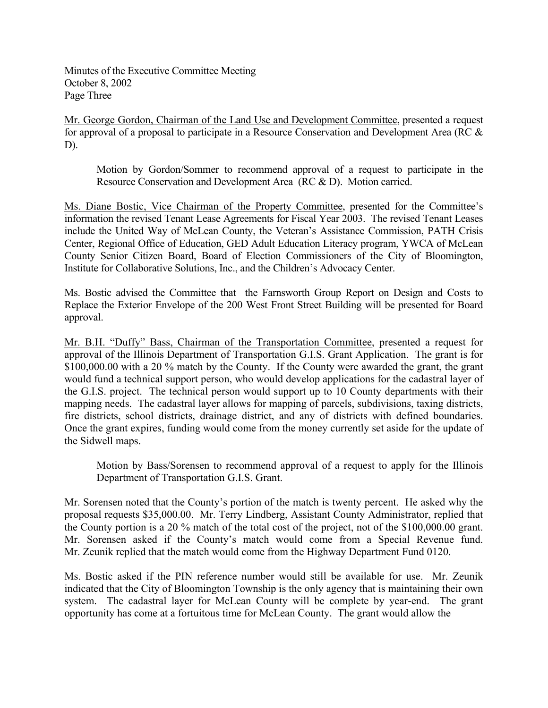Minutes of the Executive Committee Meeting October 8, 2002 Page Three

Mr. George Gordon, Chairman of the Land Use and Development Committee, presented a request for approval of a proposal to participate in a Resource Conservation and Development Area (RC & D).

Motion by Gordon/Sommer to recommend approval of a request to participate in the Resource Conservation and Development Area (RC & D). Motion carried.

Ms. Diane Bostic, Vice Chairman of the Property Committee, presented for the Committee's information the revised Tenant Lease Agreements for Fiscal Year 2003. The revised Tenant Leases include the United Way of McLean County, the Veteran's Assistance Commission, PATH Crisis Center, Regional Office of Education, GED Adult Education Literacy program, YWCA of McLean County Senior Citizen Board, Board of Election Commissioners of the City of Bloomington, Institute for Collaborative Solutions, Inc., and the Children's Advocacy Center.

Ms. Bostic advised the Committee that the Farnsworth Group Report on Design and Costs to Replace the Exterior Envelope of the 200 West Front Street Building will be presented for Board approval.

Mr. B.H. "Duffy" Bass, Chairman of the Transportation Committee, presented a request for approval of the Illinois Department of Transportation G.I.S. Grant Application. The grant is for \$100,000.00 with a 20 % match by the County. If the County were awarded the grant, the grant would fund a technical support person, who would develop applications for the cadastral layer of the G.I.S. project. The technical person would support up to 10 County departments with their mapping needs. The cadastral layer allows for mapping of parcels, subdivisions, taxing districts, fire districts, school districts, drainage district, and any of districts with defined boundaries. Once the grant expires, funding would come from the money currently set aside for the update of the Sidwell maps.

Motion by Bass/Sorensen to recommend approval of a request to apply for the Illinois Department of Transportation G.I.S. Grant.

Mr. Sorensen noted that the County's portion of the match is twenty percent. He asked why the proposal requests \$35,000.00. Mr. Terry Lindberg, Assistant County Administrator, replied that the County portion is a 20 % match of the total cost of the project, not of the \$100,000.00 grant. Mr. Sorensen asked if the County's match would come from a Special Revenue fund. Mr. Zeunik replied that the match would come from the Highway Department Fund 0120.

Ms. Bostic asked if the PIN reference number would still be available for use. Mr. Zeunik indicated that the City of Bloomington Township is the only agency that is maintaining their own system. The cadastral layer for McLean County will be complete by year-end. The grant opportunity has come at a fortuitous time for McLean County. The grant would allow the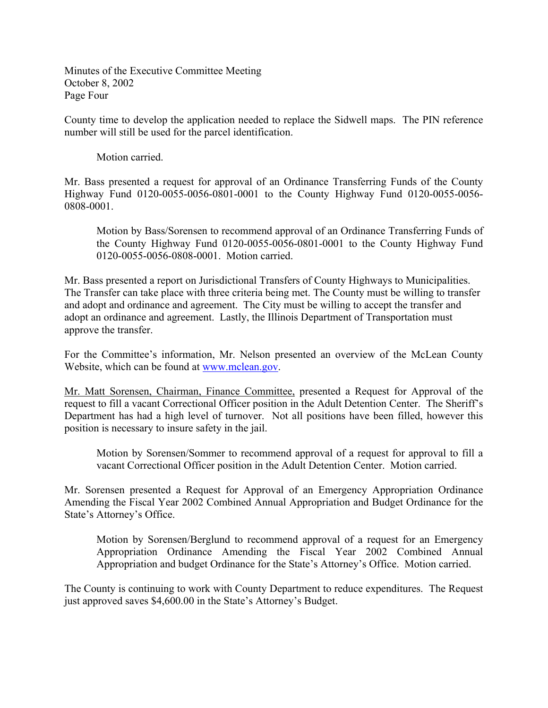Minutes of the Executive Committee Meeting October 8, 2002 Page Four

County time to develop the application needed to replace the Sidwell maps. The PIN reference number will still be used for the parcel identification.

Motion carried.

Mr. Bass presented a request for approval of an Ordinance Transferring Funds of the County Highway Fund 0120-0055-0056-0801-0001 to the County Highway Fund 0120-0055-0056- 0808-0001.

Motion by Bass/Sorensen to recommend approval of an Ordinance Transferring Funds of the County Highway Fund 0120-0055-0056-0801-0001 to the County Highway Fund 0120-0055-0056-0808-0001. Motion carried.

Mr. Bass presented a report on Jurisdictional Transfers of County Highways to Municipalities. The Transfer can take place with three criteria being met. The County must be willing to transfer and adopt and ordinance and agreement. The City must be willing to accept the transfer and adopt an ordinance and agreement. Lastly, the Illinois Department of Transportation must approve the transfer.

For the Committee's information, Mr. Nelson presented an overview of the McLean County Website, which can be found at [www.mclean.gov.](http://www.mclean.gov/)

Mr. Matt Sorensen, Chairman, Finance Committee, presented a Request for Approval of the request to fill a vacant Correctional Officer position in the Adult Detention Center. The Sheriff's Department has had a high level of turnover. Not all positions have been filled, however this position is necessary to insure safety in the jail.

Motion by Sorensen/Sommer to recommend approval of a request for approval to fill a vacant Correctional Officer position in the Adult Detention Center. Motion carried.

Mr. Sorensen presented a Request for Approval of an Emergency Appropriation Ordinance Amending the Fiscal Year 2002 Combined Annual Appropriation and Budget Ordinance for the State's Attorney's Office.

Motion by Sorensen/Berglund to recommend approval of a request for an Emergency Appropriation Ordinance Amending the Fiscal Year 2002 Combined Annual Appropriation and budget Ordinance for the State's Attorney's Office. Motion carried.

The County is continuing to work with County Department to reduce expenditures. The Request just approved saves \$4,600.00 in the State's Attorney's Budget.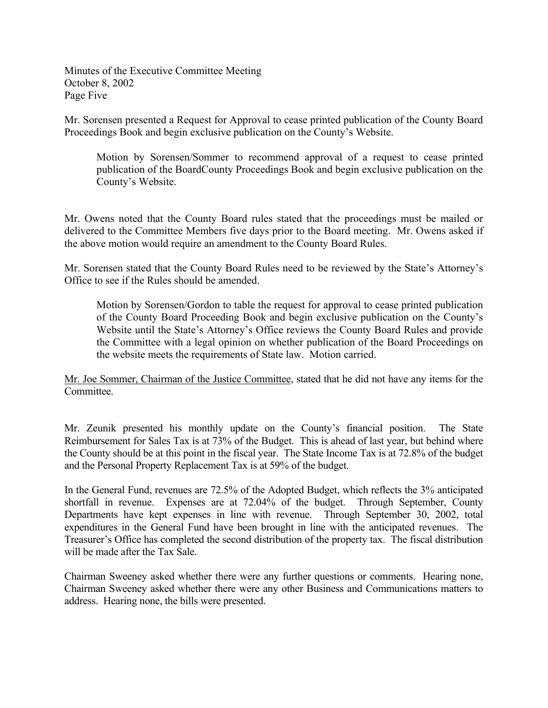Minutes of the Executive Committee Meeting October 8, 2002 Page Five

Mr. Sorensen presented a Request for Approval to cease printed publication of the County Board Proceedings Book and begin exclusive publication on the County's Website.

Motion by Sorensen/Sommer to recommend approval of a request to cease printed publication of the BoardCounty Proceedings Book and begin exclusive publication on the County's Website.

Mr. Owens noted that the County Board rules stated that the proceedings must be mailed or delivered to the Committee Members five days prior to the Board meeting. Mr. Owens asked if the above motion would require an amendment to the County Board Rules.

Mr. Sorensen stated that the County Board Rules need to be reviewed by the State's Attorney's Office to see if the Rules should be amended.

Motion by Sorensen/Gordon to table the request for approval to cease printed publication of the County Board Proceeding Book and begin exclusive publication on the County's Website until the State's Attorney's Office reviews the County Board Rules and provide the Committee with a legal opinion on whether publication of the Board Proceedings on the website meets the requirements of State law. Motion carried.

Mr. Joe Sommer, Chairman of the Justice Committee, stated that he did not have any items for the **Committee** 

Mr. Zeunik presented his monthly update on the County's financial position. The State Reimbursement for Sales Tax is at 73% of the Budget. This is ahead of last year, but behind where the County should be at this point in the fiscal year. The State Income Tax is at 72.8% of the budget and the Personal Property Replacement Tax is at 59% of the budget.

In the General Fund, revenues are 72.5% of the Adopted Budget, which reflects the 3% anticipated shortfall in revenue. Expenses are at 72.04% of the budget. Through September, County Departments have kept expenses in line with revenue. Through September 30, 2002, total expenditures in the General Fund have been brought in line with the anticipated revenues. The Treasurer's Office has completed the second distribution of the property tax. The fiscal distribution will be made after the Tax Sale.

Chairman Sweeney asked whether there were any further questions or comments. Hearing none, Chairman Sweeney asked whether there were any other Business and Communications matters to address. Hearing none, the bills were presented.